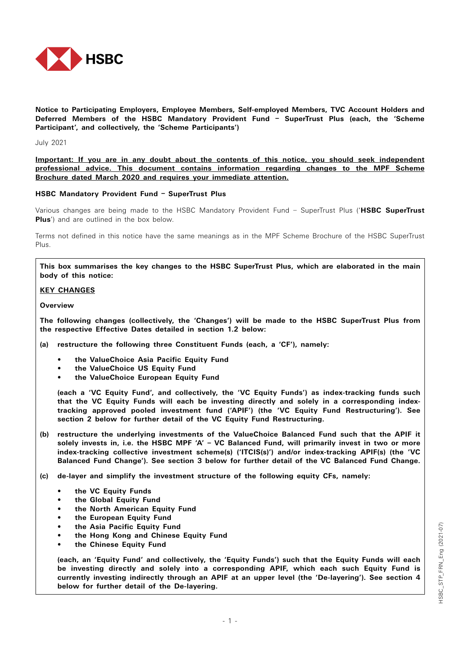

**Notice to Participating Employers, Employee Members, Self-employed Members, TVC Account Holders and Deferred Members of the HSBC Mandatory Provident Fund – SuperTrust Plus (each, the 'Scheme Participant', and collectively, the 'Scheme Participants')**

July 2021

**Important: If you are in any doubt about the contents of this notice, you should seek independent professional advice. This document contains information regarding changes to the MPF Scheme Brochure dated March 2020 and requires your immediate attention.**

#### **HSBC Mandatory Provident Fund – SuperTrust Plus**

Various changes are being made to the HSBC Mandatory Provident Fund – SuperTrust Plus ('**HSBC SuperTrust Plus**') and are outlined in the box below.

Terms not defined in this notice have the same meanings as in the MPF Scheme Brochure of the HSBC SuperTrust Plus.

**This box summarises the key changes to the HSBC SuperTrust Plus, which are elaborated in the main body of this notice:**

#### **KEY CHANGES**

**Overview**

**The following changes (collectively, the 'Changes') will be made to the HSBC SuperTrust Plus from the respective Effective Dates detailed in section 1.2 below:**

- **(a) restructure the following three Constituent Funds (each, a 'CF'), namely:**
	- **the ValueChoice Asia Pacific Equity Fund**
	- **the ValueChoice US Equity Fund**
	- **the ValueChoice European Equity Fund**

 **(each a 'VC Equity Fund', and collectively, the 'VC Equity Funds') as index-tracking funds such that the VC Equity Funds will each be investing directly and solely in a corresponding indextracking approved pooled investment fund ('APIF') (the 'VC Equity Fund Restructuring'). See section 2 below for further detail of the VC Equity Fund Restructuring.**

- **(b) restructure the underlying investments of the ValueChoice Balanced Fund such that the APIF it**  solely invests in, i.e. the HSBC MPF 'A' - VC Balanced Fund, will primarily invest in two or more **index-tracking collective investment scheme(s) ('ITCIS(s)') and/or index-tracking APIF(s) (the 'VC Balanced Fund Change'). See section 3 below for further detail of the VC Balanced Fund Change.**
- **(c) de-layer and simplify the investment structure of the following equity CFs, namely:**
	- **the VC Equity Funds**
	- **the Global Equity Fund**
	- **the North American Equity Fund**
	- **the European Equity Fund**
	- **the Asia Pacific Equity Fund**
	- **the Hong Kong and Chinese Equity Fund**
	- **the Chinese Equity Fund**

 **(each, an 'Equity Fund' and collectively, the 'Equity Funds') such that the Equity Funds will each be investing directly and solely into a corresponding APIF, which each such Equity Fund is currently investing indirectly through an APIF at an upper level (the 'De-layering'). See section 4 below for further detail of the De-layering.**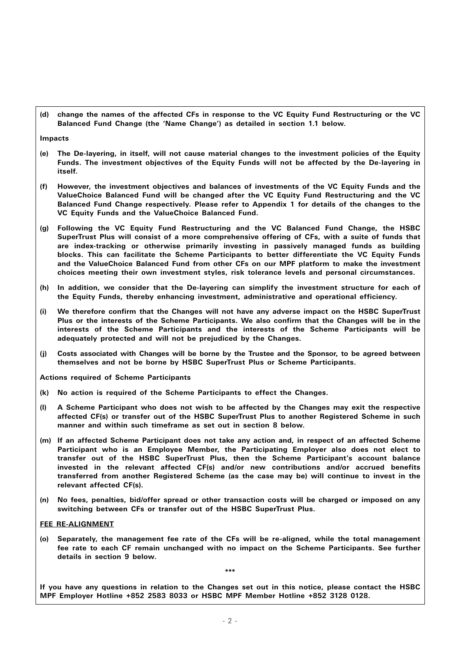**(d) change the names of the affected CFs in response to the VC Equity Fund Restructuring or the VC Balanced Fund Change (the 'Name Change') as detailed in section 1.1 below.**

#### **Impacts**

- **(e) The De-layering, in itself, will not cause material changes to the investment policies of the Equity Funds. The investment objectives of the Equity Funds will not be affected by the De-layering in itself.**
- **(f) However, the investment objectives and balances of investments of the VC Equity Funds and the ValueChoice Balanced Fund will be changed after the VC Equity Fund Restructuring and the VC Balanced Fund Change respectively. Please refer to Appendix 1 for details of the changes to the VC Equity Funds and the ValueChoice Balanced Fund.**
- **(g) Following the VC Equity Fund Restructuring and the VC Balanced Fund Change, the HSBC SuperTrust Plus will consist of a more comprehensive offering of CFs, with a suite of funds that are index-tracking or otherwise primarily investing in passively managed funds as building blocks. This can facilitate the Scheme Participants to better differentiate the VC Equity Funds and the ValueChoice Balanced Fund from other CFs on our MPF platform to make the investment choices meeting their own investment styles, risk tolerance levels and personal circumstances.**
- **(h) In addition, we consider that the De-layering can simplify the investment structure for each of the Equity Funds, thereby enhancing investment, administrative and operational efficiency.**
- **(i) We therefore confirm that the Changes will not have any adverse impact on the HSBC SuperTrust Plus or the interests of the Scheme Participants. We also confirm that the Changes will be in the interests of the Scheme Participants and the interests of the Scheme Participants will be adequately protected and will not be prejudiced by the Changes.**
- **(j) Costs associated with Changes will be borne by the Trustee and the Sponsor, to be agreed between themselves and not be borne by HSBC SuperTrust Plus or Scheme Participants.**

**Actions required of Scheme Participants**

- **(k) No action is required of the Scheme Participants to effect the Changes.**
- **(l) A Scheme Participant who does not wish to be affected by the Changes may exit the respective affected CF(s) or transfer out of the HSBC SuperTrust Plus to another Registered Scheme in such manner and within such timeframe as set out in section 8 below.**
- **(m) If an affected Scheme Participant does not take any action and, in respect of an affected Scheme Participant who is an Employee Member, the Participating Employer also does not elect to transfer out of the HSBC SuperTrust Plus, then the Scheme Participant's account balance invested in the relevant affected CF(s) and/or new contributions and/or accrued benefits transferred from another Registered Scheme (as the case may be) will continue to invest in the relevant affected CF(s).**
- **(n) No fees, penalties, bid/offer spread or other transaction costs will be charged or imposed on any switching between CFs or transfer out of the HSBC SuperTrust Plus.**

#### **FEE RE-ALIGNMENT**

**(o) Separately, the management fee rate of the CFs will be re-aligned, while the total management fee rate to each CF remain unchanged with no impact on the Scheme Participants. See further details in section 9 below.**

**\*\*\***

**If you have any questions in relation to the Changes set out in this notice, please contact the HSBC MPF Employer Hotline +852 2583 8033 or HSBC MPF Member Hotline +852 3128 0128.**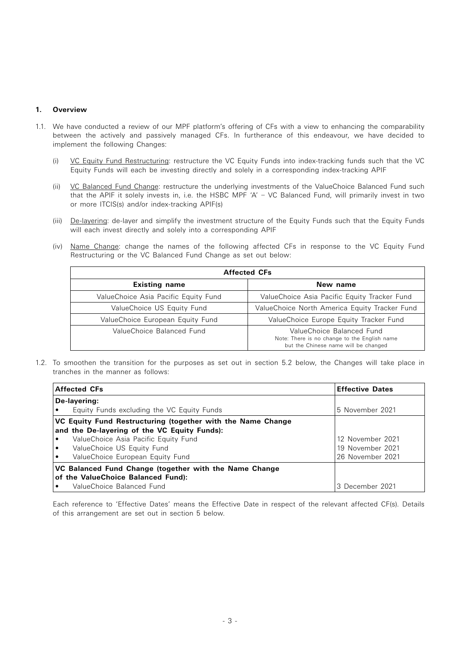#### **1. Overview**

- 1.1. We have conducted a review of our MPF platform's offering of CFs with a view to enhancing the comparability between the actively and passively managed CFs. In furtherance of this endeavour, we have decided to implement the following Changes:
	- (i) VC Equity Fund Restructuring: restructure the VC Equity Funds into index-tracking funds such that the VC Equity Funds will each be investing directly and solely in a corresponding index-tracking APIF
	- (ii) VC Balanced Fund Change: restructure the underlying investments of the ValueChoice Balanced Fund such that the APIF it solely invests in, i.e. the HSBC MPF 'A' – VC Balanced Fund, will primarily invest in two or more ITCIS(s) and/or index-tracking APIF(s)
	- (iii) De-layering: de-layer and simplify the investment structure of the Equity Funds such that the Equity Funds will each invest directly and solely into a corresponding APIF
	- (iv) Name Change: change the names of the following affected CFs in response to the VC Equity Fund Restructuring or the VC Balanced Fund Change as set out below:

| <b>Affected CFs</b>                  |                                                                                                                   |  |
|--------------------------------------|-------------------------------------------------------------------------------------------------------------------|--|
| <b>Existing name</b>                 | New name                                                                                                          |  |
| ValueChoice Asia Pacific Equity Fund | ValueChoice Asia Pacific Equity Tracker Fund                                                                      |  |
| ValueChoice US Equity Fund           | ValueChoice North America Equity Tracker Fund                                                                     |  |
| ValueChoice European Equity Fund     | ValueChoice Europe Equity Tracker Fund                                                                            |  |
| ValueChoice Balanced Fund            | ValueChoice Balanced Fund<br>Note: There is no change to the English name<br>but the Chinese name will be changed |  |

1.2. To smoothen the transition for the purposes as set out in section 5.2 below, the Changes will take place in tranches in the manner as follows:

| <b>Affected CFs</b>                                                                                         | <b>Effective Dates</b> |  |
|-------------------------------------------------------------------------------------------------------------|------------------------|--|
| De-layering:                                                                                                |                        |  |
| Equity Funds excluding the VC Equity Funds                                                                  | 5 November 2021        |  |
| VC Equity Fund Restructuring (together with the Name Change<br>and the De-layering of the VC Equity Funds): |                        |  |
| ValueChoice Asia Pacific Equity Fund                                                                        | 12 November 2021       |  |
| ValueChoice US Equity Fund<br>∣∙                                                                            | 19 November 2021       |  |
| ValueChoice European Equity Fund<br>۰.                                                                      | 26 November 2021       |  |
| VC Balanced Fund Change (together with the Name Change                                                      |                        |  |
| of the ValueChoice Balanced Fund):                                                                          |                        |  |
| ValueChoice Balanced Fund                                                                                   | 3 December 2021        |  |

 Each reference to 'Effective Dates' means the Effective Date in respect of the relevant affected CF(s). Details of this arrangement are set out in section 5 below.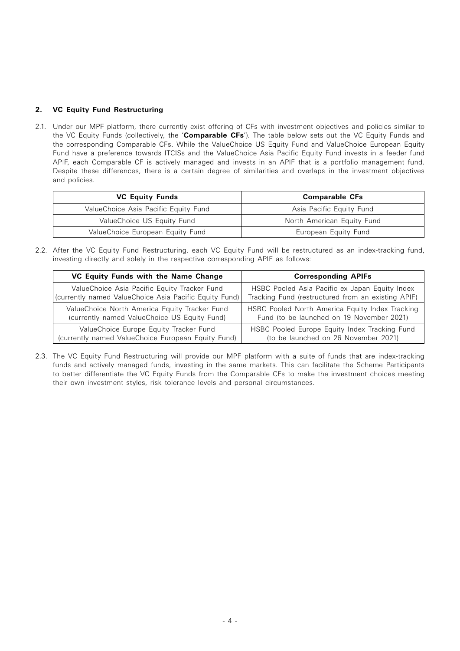# **2. VC Equity Fund Restructuring**

2.1. Under our MPF platform, there currently exist offering of CFs with investment objectives and policies similar to the VC Equity Funds (collectively, the '**Comparable CFs**'). The table below sets out the VC Equity Funds and the corresponding Comparable CFs. While the ValueChoice US Equity Fund and ValueChoice European Equity Fund have a preference towards ITCISs and the ValueChoice Asia Pacific Equity Fund invests in a feeder fund APIF, each Comparable CF is actively managed and invests in an APIF that is a portfolio management fund. Despite these differences, there is a certain degree of similarities and overlaps in the investment objectives and policies.

| <b>VC Equity Funds</b>               | <b>Comparable CFs</b>      |
|--------------------------------------|----------------------------|
| ValueChoice Asia Pacific Equity Fund | Asia Pacific Equity Fund   |
| ValueChoice US Equity Fund           | North American Equity Fund |
| ValueChoice European Equity Fund     | European Equity Fund       |

2.2. After the VC Equity Fund Restructuring, each VC Equity Fund will be restructured as an index-tracking fund, investing directly and solely in the respective corresponding APIF as follows:

| VC Equity Funds with the Name Change                   | <b>Corresponding APIFs</b>                         |
|--------------------------------------------------------|----------------------------------------------------|
| ValueChoice Asia Pacific Equity Tracker Fund           | HSBC Pooled Asia Pacific ex Japan Equity Index     |
| (currently named ValueChoice Asia Pacific Equity Fund) | Tracking Fund (restructured from an existing APIF) |
| ValueChoice North America Equity Tracker Fund          | HSBC Pooled North America Equity Index Tracking    |
| (currently named ValueChoice US Equity Fund)           | Fund (to be launched on 19 November 2021)          |
| ValueChoice Europe Equity Tracker Fund                 | HSBC Pooled Europe Equity Index Tracking Fund      |
| (currently named ValueChoice European Equity Fund)     | (to be launched on 26 November 2021)               |

2.3. The VC Equity Fund Restructuring will provide our MPF platform with a suite of funds that are index-tracking funds and actively managed funds, investing in the same markets. This can facilitate the Scheme Participants to better differentiate the VC Equity Funds from the Comparable CFs to make the investment choices meeting their own investment styles, risk tolerance levels and personal circumstances.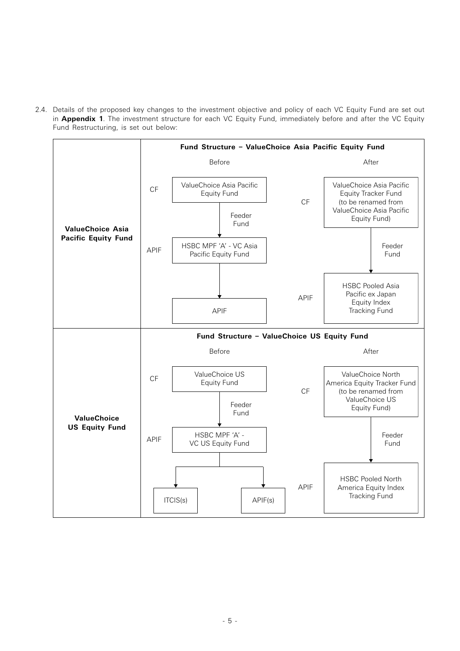2.4. Details of the proposed key changes to the investment objective and policy of each VC Equity Fund are set out in **Appendix 1**. The investment structure for each VC Equity Fund, immediately before and after the VC Equity Fund Restructuring, is set out below:

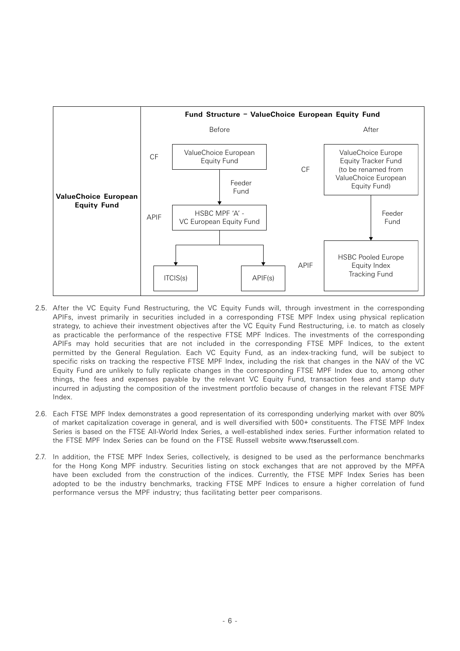

- 2.5. After the VC Equity Fund Restructuring, the VC Equity Funds will, through investment in the corresponding APIFs, invest primarily in securities included in a corresponding FTSE MPF Index using physical replication strategy, to achieve their investment objectives after the VC Equity Fund Restructuring, i.e. to match as closely as practicable the performance of the respective FTSE MPF Indices. The investments of the corresponding APIFs may hold securities that are not included in the corresponding FTSE MPF Indices, to the extent permitted by the General Regulation. Each VC Equity Fund, as an index-tracking fund, will be subject to specific risks on tracking the respective FTSE MPF Index, including the risk that changes in the NAV of the VC Equity Fund are unlikely to fully replicate changes in the corresponding FTSE MPF Index due to, among other things, the fees and expenses payable by the relevant VC Equity Fund, transaction fees and stamp duty incurred in adjusting the composition of the investment portfolio because of changes in the relevant FTSE MPF Index.
- 2.6. Each FTSE MPF Index demonstrates a good representation of its corresponding underlying market with over 80% of market capitalization coverage in general, and is well diversified with 500+ constituents. The FTSE MPF Index Series is based on the FTSE All-World Index Series, a well-established index series. Further information related to the FTSE MPF Index Series can be found on the FTSE Russell website www.ftserussell.com.
- 2.7. In addition, the FTSE MPF Index Series, collectively, is designed to be used as the performance benchmarks for the Hong Kong MPF industry. Securities listing on stock exchanges that are not approved by the MPFA have been excluded from the construction of the indices. Currently, the FTSE MPF Index Series has been adopted to be the industry benchmarks, tracking FTSE MPF Indices to ensure a higher correlation of fund performance versus the MPF industry; thus facilitating better peer comparisons.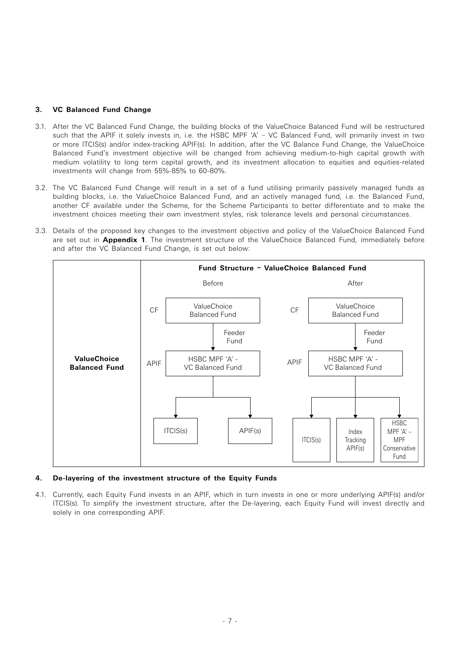### **3. VC Balanced Fund Change**

- 3.1. After the VC Balanced Fund Change, the building blocks of the ValueChoice Balanced Fund will be restructured such that the APIF it solely invests in, i.e. the HSBC MPF 'A' - VC Balanced Fund, will primarily invest in two or more ITCIS(s) and/or index-tracking APIF(s). In addition, after the VC Balance Fund Change, the ValueChoice Balanced Fund's investment objective will be changed from achieving medium-to-high capital growth with medium volatility to long term capital growth, and its investment allocation to equities and equities-related investments will change from 55%-85% to 60-80%.
- 3.2. The VC Balanced Fund Change will result in a set of a fund utilising primarily passively managed funds as building blocks, i.e. the ValueChoice Balanced Fund, and an actively managed fund, i.e. the Balanced Fund, another CF available under the Scheme, for the Scheme Participants to better differentiate and to make the investment choices meeting their own investment styles, risk tolerance levels and personal circumstances.
- 3.3. Details of the proposed key changes to the investment objective and policy of the ValueChoice Balanced Fund are set out in **Appendix 1**. The investment structure of the ValueChoice Balanced Fund, immediately before and after the VC Balanced Fund Change, is set out below:



#### **4. De-layering of the investment structure of the Equity Funds**

4.1. Currently, each Equity Fund invests in an APIF, which in turn invests in one or more underlying APIF(s) and/or ITCIS(s). To simplify the investment structure, after the De-layering, each Equity Fund will invest directly and solely in one corresponding APIF.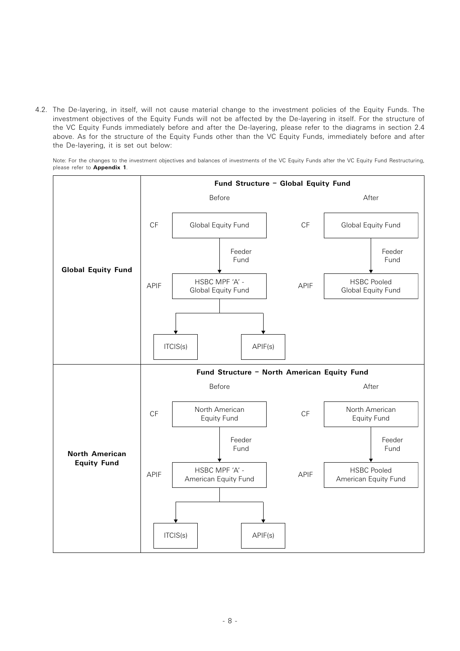4.2. The De-layering, in itself, will not cause material change to the investment policies of the Equity Funds. The investment objectives of the Equity Funds will not be affected by the De-layering in itself. For the structure of the VC Equity Funds immediately before and after the De-layering, please refer to the diagrams in section 2.4 above. As for the structure of the Equity Funds other than the VC Equity Funds, immediately before and after the De-layering, it is set out below:

 Note: For the changes to the investment objectives and balances of investments of the VC Equity Funds after the VC Equity Fund Restructuring, please refer to **Appendix 1**.

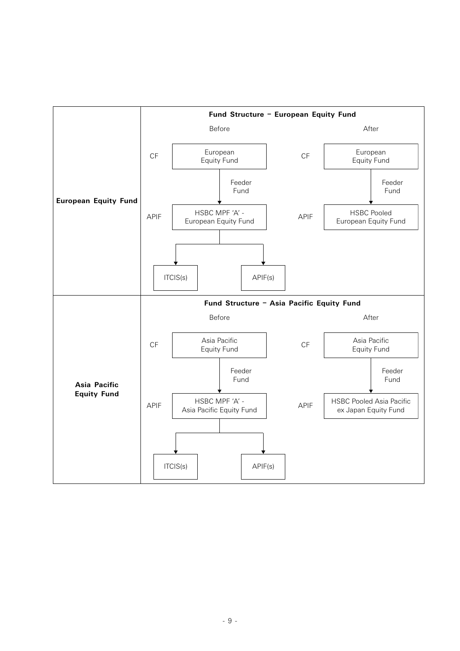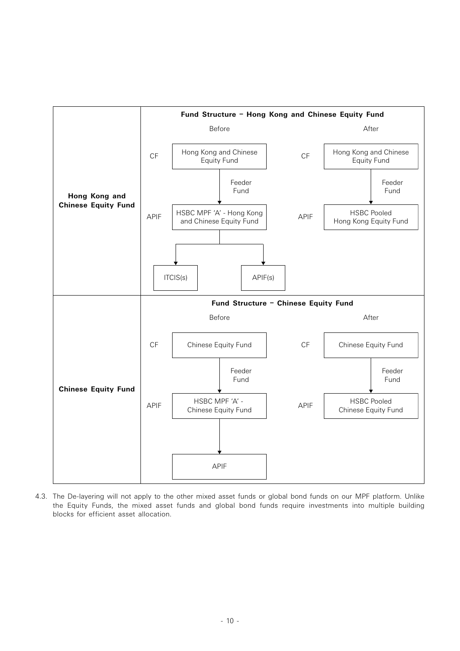

4.3. The De-layering will not apply to the other mixed asset funds or global bond funds on our MPF platform. Unlike the Equity Funds, the mixed asset funds and global bond funds require investments into multiple building blocks for efficient asset allocation.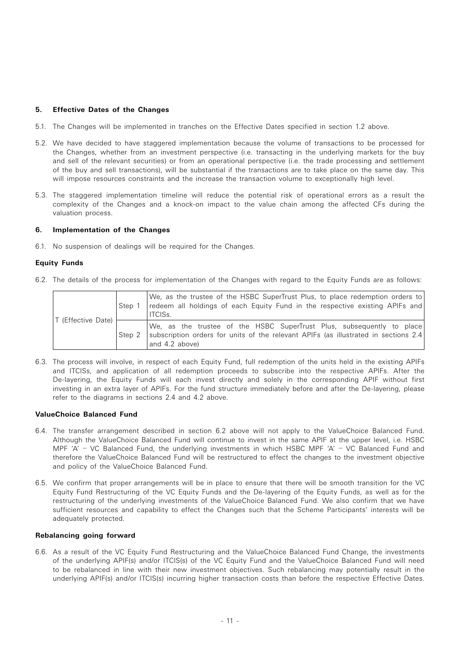#### **5. Effective Dates of the Changes**

- 5.1. The Changes will be implemented in tranches on the Effective Dates specified in section 1.2 above.
- 5.2. We have decided to have staggered implementation because the volume of transactions to be processed for the Changes, whether from an investment perspective (i.e. transacting in the underlying markets for the buy and sell of the relevant securities) or from an operational perspective (i.e. the trade processing and settlement of the buy and sell transactions), will be substantial if the transactions are to take place on the same day. This will impose resources constraints and the increase the transaction volume to exceptionally high level.
- 5.3. The staggered implementation timeline will reduce the potential risk of operational errors as a result the complexity of the Changes and a knock-on impact to the value chain among the affected CFs during the valuation process.

#### **6. Implementation of the Changes**

6.1. No suspension of dealings will be required for the Changes.

#### **Equity Funds**

6.2. The details of the process for implementation of the Changes with regard to the Equity Funds are as follows:

| T (Effective Date) | Step 1 | We, as the trustee of the HSBC SuperTrust Plus, to place redemption orders to<br>redeem all holdings of each Equity Fund in the respective existing APIFs and<br>ITCISs.                     |
|--------------------|--------|----------------------------------------------------------------------------------------------------------------------------------------------------------------------------------------------|
|                    | Step 2 | $ \mathsf{We} $ , as the trustee of the HSBC SuperTrust Plus, subsequently to place<br>subscription orders for units of the relevant APIFs (as illustrated in sections 2.4<br>and 4.2 above) |

6.3. The process will involve, in respect of each Equity Fund, full redemption of the units held in the existing APIFs and ITCISs, and application of all redemption proceeds to subscribe into the respective APIFs. After the De-layering, the Equity Funds will each invest directly and solely in the corresponding APIF without first investing in an extra layer of APIFs. For the fund structure immediately before and after the De-layering, please refer to the diagrams in sections 2.4 and 4.2 above.

#### **ValueChoice Balanced Fund**

- 6.4. The transfer arrangement described in section 6.2 above will not apply to the ValueChoice Balanced Fund. Although the ValueChoice Balanced Fund will continue to invest in the same APIF at the upper level, i.e. HSBC MPF 'A'  $-$  VC Balanced Fund, the underlying investments in which HSBC MPF 'A'  $-$  VC Balanced Fund and therefore the ValueChoice Balanced Fund will be restructured to effect the changes to the investment objective and policy of the ValueChoice Balanced Fund.
- 6.5. We confirm that proper arrangements will be in place to ensure that there will be smooth transition for the VC Equity Fund Restructuring of the VC Equity Funds and the De-layering of the Equity Funds, as well as for the restructuring of the underlying investments of the ValueChoice Balanced Fund. We also confirm that we have sufficient resources and capability to effect the Changes such that the Scheme Participants' interests will be adequately protected.

#### **Rebalancing going forward**

6.6. As a result of the VC Equity Fund Restructuring and the ValueChoice Balanced Fund Change, the investments of the underlying APIF(s) and/or ITCIS(s) of the VC Equity Fund and the ValueChoice Balanced Fund will need to be rebalanced in line with their new investment objectives. Such rebalancing may potentially result in the underlying APIF(s) and/or ITCIS(s) incurring higher transaction costs than before the respective Effective Dates.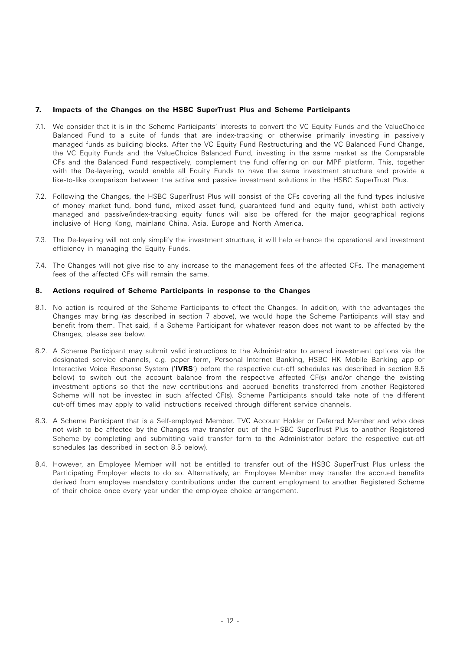#### **7. Impacts of the Changes on the HSBC SuperTrust Plus and Scheme Participants**

- 7.1. We consider that it is in the Scheme Participants' interests to convert the VC Equity Funds and the ValueChoice Balanced Fund to a suite of funds that are index-tracking or otherwise primarily investing in passively managed funds as building blocks. After the VC Equity Fund Restructuring and the VC Balanced Fund Change, the VC Equity Funds and the ValueChoice Balanced Fund, investing in the same market as the Comparable CFs and the Balanced Fund respectively, complement the fund offering on our MPF platform. This, together with the De-layering, would enable all Equity Funds to have the same investment structure and provide a like-to-like comparison between the active and passive investment solutions in the HSBC SuperTrust Plus.
- 7.2. Following the Changes, the HSBC SuperTrust Plus will consist of the CFs covering all the fund types inclusive of money market fund, bond fund, mixed asset fund, guaranteed fund and equity fund, whilst both actively managed and passive/index-tracking equity funds will also be offered for the major geographical regions inclusive of Hong Kong, mainland China, Asia, Europe and North America.
- 7.3. The De-layering will not only simplify the investment structure, it will help enhance the operational and investment efficiency in managing the Equity Funds.
- 7.4. The Changes will not give rise to any increase to the management fees of the affected CFs. The management fees of the affected CFs will remain the same.

#### **8. Actions required of Scheme Participants in response to the Changes**

- 8.1. No action is required of the Scheme Participants to effect the Changes. In addition, with the advantages the Changes may bring (as described in section 7 above), we would hope the Scheme Participants will stay and benefit from them. That said, if a Scheme Participant for whatever reason does not want to be affected by the Changes, please see below.
- 8.2. A Scheme Participant may submit valid instructions to the Administrator to amend investment options via the designated service channels, e.g. paper form, Personal Internet Banking, HSBC HK Mobile Banking app or Interactive Voice Response System ('**IVRS**') before the respective cut-off schedules (as described in section 8.5 below) to switch out the account balance from the respective affected CF(s) and/or change the existing investment options so that the new contributions and accrued benefits transferred from another Registered Scheme will not be invested in such affected CF(s). Scheme Participants should take note of the different cut-off times may apply to valid instructions received through different service channels.
- 8.3. A Scheme Participant that is a Self-employed Member, TVC Account Holder or Deferred Member and who does not wish to be affected by the Changes may transfer out of the HSBC SuperTrust Plus to another Registered Scheme by completing and submitting valid transfer form to the Administrator before the respective cut-off schedules (as described in section 8.5 below).
- 8.4. However, an Employee Member will not be entitled to transfer out of the HSBC SuperTrust Plus unless the Participating Employer elects to do so. Alternatively, an Employee Member may transfer the accrued benefits derived from employee mandatory contributions under the current employment to another Registered Scheme of their choice once every year under the employee choice arrangement.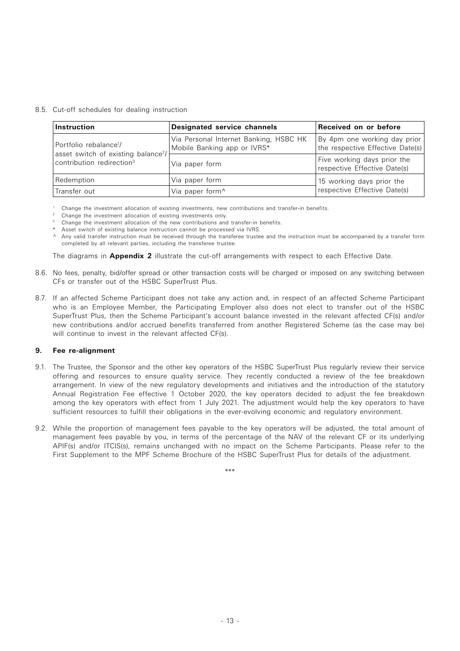8.5. Cut-off schedules for dealing instruction

| <b>Instruction</b>                                                                       | <b>Designated service channels</b>                                    | Received on or before                                              |
|------------------------------------------------------------------------------------------|-----------------------------------------------------------------------|--------------------------------------------------------------------|
| Portfolio rebalance <sup>1</sup> /                                                       | Via Personal Internet Banking, HSBC HK<br>Mobile Banking app or IVRS* | By 4pm one working day prior  <br>the respective Effective Date(s) |
| asset switch of existing balance <sup>2</sup> /<br>contribution redirection <sup>3</sup> | Via paper form                                                        | Five working days prior the<br>respective Effective Date(s)        |
| Redemption                                                                               | Via paper form                                                        | 15 working days prior the                                          |
| Transfer out                                                                             | Via paper form <sup>^</sup>                                           | respective Effective Date(s)                                       |

1 Change the investment allocation of existing investments, new contributions and transfer-in benefits.

<sup>2</sup> Change the investment allocation of existing investments only.

<sup>3</sup> Change the investment allocation of the new contributions and transfer-in benefits.

\* Asset switch of existing balance instruction cannot be processed via IVRS.

The diagrams in **Appendix 2** illustrate the cut-off arrangements with respect to each Effective Date.

- 8.6. No fees, penalty, bid/offer spread or other transaction costs will be charged or imposed on any switching between CFs or transfer out of the HSBC SuperTrust Plus.
- 8.7. If an affected Scheme Participant does not take any action and, in respect of an affected Scheme Participant who is an Employee Member, the Participating Employer also does not elect to transfer out of the HSBC SuperTrust Plus, then the Scheme Participant's account balance invested in the relevant affected CF(s) and/or new contributions and/or accrued benefits transferred from another Registered Scheme (as the case may be) will continue to invest in the relevant affected CF(s).

#### **9. Fee re-alignment**

- 9.1. The Trustee, the Sponsor and the other key operators of the HSBC SuperTrust Plus regularly review their service offering and resources to ensure quality service. They recently conducted a review of the fee breakdown arrangement. In view of the new regulatory developments and initiatives and the introduction of the statutory Annual Registration Fee effective 1 October 2020, the key operators decided to adjust the fee breakdown among the key operators with effect from 1 July 2021. The adjustment would help the key operators to have sufficient resources to fulfill their obligations in the ever-evolving economic and regulatory environment.
- 9.2. While the proportion of management fees payable to the key operators will be adjusted, the total amount of management fees payable by you, in terms of the percentage of the NAV of the relevant CF or its underlying APIF(s) and/or ITCIS(s), remains unchanged with no impact on the Scheme Participants. Please refer to the First Supplement to the MPF Scheme Brochure of the HSBC SuperTrust Plus for details of the adjustment.

 <sup>^</sup> Any valid transfer instruction must be received through the transferee trustee and the instruction must be accompanied by a transfer form completed by all relevant parties, including the transferee trustee.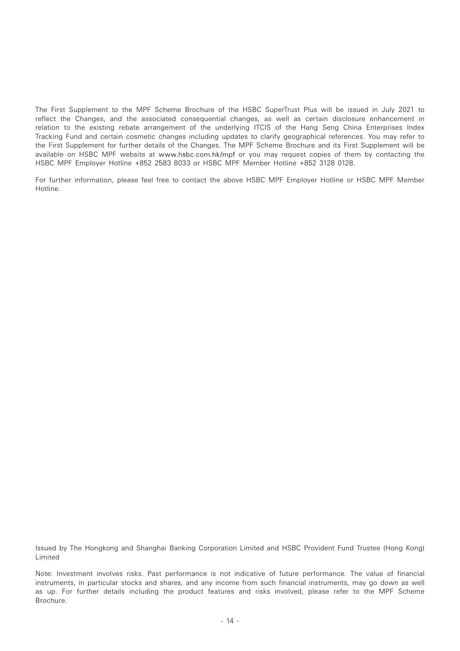The First Supplement to the MPF Scheme Brochure of the HSBC SuperTrust Plus will be issued in July 2021 to reflect the Changes, and the associated consequential changes, as well as certain disclosure enhancement in relation to the existing rebate arrangement of the underlying ITCIS of the Hang Seng China Enterprises Index Tracking Fund and certain cosmetic changes including updates to clarify geographical references. You may refer to the First Supplement for further details of the Changes. The MPF Scheme Brochure and its First Supplement will be available on HSBC MPF website at www.hsbc.com.hk/mpf or you may request copies of them by contacting the HSBC MPF Employer Hotline +852 2583 8033 or HSBC MPF Member Hotline +852 3128 0128.

For further information, please feel free to contact the above HSBC MPF Employer Hotline or HSBC MPF Member Hotline.

Issued by The Hongkong and Shanghai Banking Corporation Limited and HSBC Provident Fund Trustee (Hong Kong) Limited

Note: Investment involves risks. Past performance is not indicative of future performance. The value of financial instruments, in particular stocks and shares, and any income from such financial instruments, may go down as well as up. For further details including the product features and risks involved, please refer to the MPF Scheme Brochure.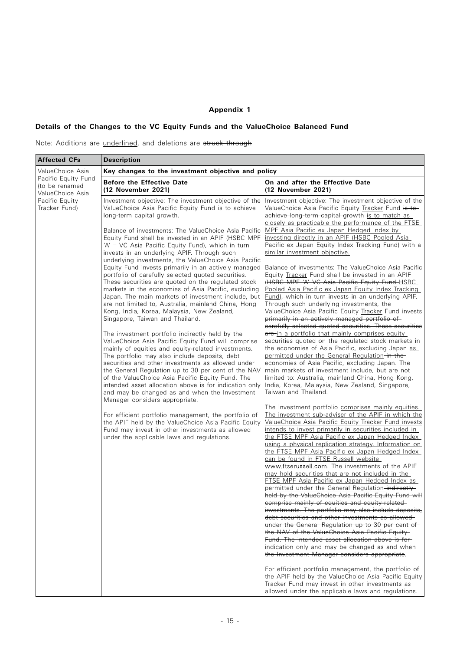# **Appendix 1**

# **Details of the Changes to the VC Equity Funds and the ValueChoice Balanced Fund**

Note: Additions are underlined, and deletions are struck through

| <b>Affected CFs</b>                                    | <b>Description</b>                                                                                                                                                                                                                                                                                                                                                                                                                                                                                                                                                                                                                                                                                                                                                                                                                                                                                                                                                                                                                                                                                                                                                                                                                                                                                                                                                                                                                                                                                                                                                                        |                                                                                                                                                                                                                                                                                                                                                                                                                                                                                                                                                                                                                                                                                                                                                                                                                                                                                                                                                                                                                                                                                                                                                                                                                                                                                                                                                                                                                                                                                                                                                                                                                                                                                                                                                                                                                                                                                                                                                                                                                                                                                                                                                                                                                                                                                                                                                                                                                                                                                                              |  |
|--------------------------------------------------------|-------------------------------------------------------------------------------------------------------------------------------------------------------------------------------------------------------------------------------------------------------------------------------------------------------------------------------------------------------------------------------------------------------------------------------------------------------------------------------------------------------------------------------------------------------------------------------------------------------------------------------------------------------------------------------------------------------------------------------------------------------------------------------------------------------------------------------------------------------------------------------------------------------------------------------------------------------------------------------------------------------------------------------------------------------------------------------------------------------------------------------------------------------------------------------------------------------------------------------------------------------------------------------------------------------------------------------------------------------------------------------------------------------------------------------------------------------------------------------------------------------------------------------------------------------------------------------------------|--------------------------------------------------------------------------------------------------------------------------------------------------------------------------------------------------------------------------------------------------------------------------------------------------------------------------------------------------------------------------------------------------------------------------------------------------------------------------------------------------------------------------------------------------------------------------------------------------------------------------------------------------------------------------------------------------------------------------------------------------------------------------------------------------------------------------------------------------------------------------------------------------------------------------------------------------------------------------------------------------------------------------------------------------------------------------------------------------------------------------------------------------------------------------------------------------------------------------------------------------------------------------------------------------------------------------------------------------------------------------------------------------------------------------------------------------------------------------------------------------------------------------------------------------------------------------------------------------------------------------------------------------------------------------------------------------------------------------------------------------------------------------------------------------------------------------------------------------------------------------------------------------------------------------------------------------------------------------------------------------------------------------------------------------------------------------------------------------------------------------------------------------------------------------------------------------------------------------------------------------------------------------------------------------------------------------------------------------------------------------------------------------------------------------------------------------------------------------------------------------------------|--|
| ValueChoice Asia                                       | Key changes to the investment objective and policy                                                                                                                                                                                                                                                                                                                                                                                                                                                                                                                                                                                                                                                                                                                                                                                                                                                                                                                                                                                                                                                                                                                                                                                                                                                                                                                                                                                                                                                                                                                                        |                                                                                                                                                                                                                                                                                                                                                                                                                                                                                                                                                                                                                                                                                                                                                                                                                                                                                                                                                                                                                                                                                                                                                                                                                                                                                                                                                                                                                                                                                                                                                                                                                                                                                                                                                                                                                                                                                                                                                                                                                                                                                                                                                                                                                                                                                                                                                                                                                                                                                                              |  |
| (to be renamed<br>ValueChoice Asia                     | <b>Before the Effective Date</b><br>(12 November 2021)                                                                                                                                                                                                                                                                                                                                                                                                                                                                                                                                                                                                                                                                                                                                                                                                                                                                                                                                                                                                                                                                                                                                                                                                                                                                                                                                                                                                                                                                                                                                    | On and after the Effective Date<br>(12 November 2021)                                                                                                                                                                                                                                                                                                                                                                                                                                                                                                                                                                                                                                                                                                                                                                                                                                                                                                                                                                                                                                                                                                                                                                                                                                                                                                                                                                                                                                                                                                                                                                                                                                                                                                                                                                                                                                                                                                                                                                                                                                                                                                                                                                                                                                                                                                                                                                                                                                                        |  |
| Pacific Equity Fund<br>Pacific Equity<br>Tracker Fund) | Investment objective: The investment objective of the<br>ValueChoice Asia Pacific Equity Fund is to achieve<br>long-term capital growth.<br>Balance of investments: The ValueChoice Asia Pacific<br>Equity Fund shall be invested in an APIF (HSBC MPF<br>'A' - VC Asia Pacific Equity Fund), which in turn<br>invests in an underlying APIF. Through such<br>underlying investments, the ValueChoice Asia Pacific<br>Equity Fund invests primarily in an actively managed<br>portfolio of carefully selected quoted securities.<br>These securities are quoted on the regulated stock<br>markets in the economies of Asia Pacific, excluding<br>Japan. The main markets of investment include, but<br>are not limited to, Australia, mainland China, Hong<br>Kong, India, Korea, Malaysia, New Zealand,<br>Singapore, Taiwan and Thailand.<br>The investment portfolio indirectly held by the<br>ValueChoice Asia Pacific Equity Fund will comprise<br>mainly of equities and equity-related investments.<br>The portfolio may also include deposits, debt<br>securities and other investments as allowed under<br>the General Regulation up to 30 per cent of the NAV<br>of the ValueChoice Asia Pacific Equity Fund. The<br>intended asset allocation above is for indication only<br>and may be changed as and when the Investment<br>Manager considers appropriate.<br>For efficient portfolio management, the portfolio of<br>the APIF held by the ValueChoice Asia Pacific Equity<br>Fund may invest in other investments as allowed<br>under the applicable laws and regulations. | Investment objective: The investment objective of the<br>ValueChoice Asia Pacific Equity Tracker Fund is to<br>achieve long-term capital growth is to match as<br>closely as practicable the performance of the FTSE<br>MPF Asia Pacific ex Japan Hedged Index by<br>investing directly in an APIF (HSBC Pooled Asia<br>Pacific ex Japan Equity Index Tracking Fund) with a<br>similar investment objective.<br>Balance of investments: The ValueChoice Asia Pacific<br>Equity Tracker Fund shall be invested in an APIF<br>(HSBC MPF 'A' VC Asia Pacific Equity Fund HSBC<br>Pooled Asia Pacific ex Japan Equity Index Tracking<br>Fund), which in turn invests in an underlying APIF.<br>Through such underlying investments, the<br>ValueChoice Asia Pacific Equity Tracker Fund invests<br>primarily in an actively managed portfolio of<br>carefully selected quoted securities. These securities<br>are-in a portfolio that mainly comprises equity<br>securities quoted on the regulated stock markets in<br>the economies of Asia Pacific, excluding Japan as<br>permitted under the General Regulation in the<br>economies of Asia Pacific, excluding Japan. The<br>main markets of investment include, but are not<br>limited to: Australia, mainland China, Hong Kong,<br>India, Korea, Malaysia, New Zealand, Singapore,<br>Taiwan and Thailand.<br>The investment portfolio comprises mainly equities.<br>The investment sub-adviser of the APIF in which the<br>ValueChoice Asia Pacific Equity Tracker Fund invests<br>intends to invest primarily in securities included in<br>the FTSE MPF Asia Pacific ex Japan Hedged Index<br>using a physical replication strategy. Information on<br>the FTSE MPF Asia Pacific ex Japan Hedged Index<br>can be found in FTSE Russell website<br>www.ftserussell.com. The investments of the APIF<br>may hold securities that are not included in the<br>FTSE MPF Asia Pacific ex Japan Hedged Index as<br>permitted under the General Regulation-indirectly-<br>held by the ValueChoice Asia Pacific Equity Fund will<br>comprise mainly of equities and equity-related<br>investments. The portfolio may also include deposits,<br>debt securities and other investments as allowed-<br>under the General Regulation up to 30 per cent of<br>the NAV of the ValueChoice Asia Pacific Equity-<br>Fund. The intended asset allocation above is for-<br>indication only and may be changed as and when-<br>the Investment Manager considers appropriate. |  |
|                                                        |                                                                                                                                                                                                                                                                                                                                                                                                                                                                                                                                                                                                                                                                                                                                                                                                                                                                                                                                                                                                                                                                                                                                                                                                                                                                                                                                                                                                                                                                                                                                                                                           | For efficient portfolio management, the portfolio of<br>the APIF held by the ValueChoice Asia Pacific Equity<br>Tracker Fund may invest in other investments as<br>allowed under the applicable laws and regulations.                                                                                                                                                                                                                                                                                                                                                                                                                                                                                                                                                                                                                                                                                                                                                                                                                                                                                                                                                                                                                                                                                                                                                                                                                                                                                                                                                                                                                                                                                                                                                                                                                                                                                                                                                                                                                                                                                                                                                                                                                                                                                                                                                                                                                                                                                        |  |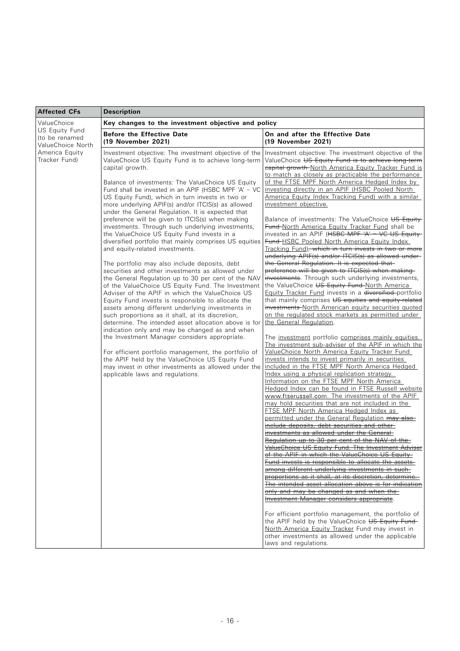| ValueChoice<br>Key changes to the investment objective and policy<br>US Equity Fund<br><b>Before the Effective Date</b><br>On and after the Effective Date<br>(to be renamed<br>(19 November 2021)<br>(19 November 2021)<br>ValueChoice North<br>America Equity<br>Investment objective: The investment objective of the<br>Tracker Fund)<br>ValueChoice US Equity Fund is to achieve long-term<br>capital growth.<br>Balance of investments: The ValueChoice US Equity<br>Fund shall be invested in an APIF (HSBC MPF 'A' - VC<br>investing directly in an APIF (HSBC Pooled North<br>US Equity Fund), which in turn invests in two or<br>investment objective.<br>more underlying APIF(s) and/or ITCIS(s) as allowed<br>under the General Regulation. It is expected that<br>preference will be given to ITCIS(s) when making<br>investments. Through such underlying investments,<br>the ValueChoice US Equity Fund invests in a<br>diversified portfolio that mainly comprises US equities<br>Fund-HSBC Pooled North America Equity Index<br>and equity-related investments.<br>Tracking Fund), which in turn invests in two or more<br>the General Regulation. It is expected that<br>The portfolio may also include deposits, debt<br>securities and other investments as allowed under<br>investments. Through such underlying investments,<br>the General Regulation up to 30 per cent of the NAV<br>the ValueChoice US Equity Fund-North America<br>of the ValueChoice US Equity Fund. The Investment<br>Adviser of the APIF in which the ValueChoice US<br>Equity Fund invests is responsible to allocate the<br>investments North American equity securities quoted<br>assets among different underlying investments in<br>such proportions as it shall, at its discretion,<br>the General Regulation.<br>determine. The intended asset allocation above is for<br>indication only and may be changed as and when<br>the Investment Manager considers appropriate.<br>The investment portfolio comprises mainly equities.<br>ValueChoice North America Equity Tracker Fund<br>For efficient portfolio management, the portfolio of<br>invests intends to invest primarily in securities<br>the APIF held by the ValueChoice US Equity Fund<br>included in the FTSE MPF North America Hedged<br>may invest in other investments as allowed under the<br>Index using a physical replication strategy.<br>applicable laws and regulations.<br>Information on the FTSE MPF North America<br>www.ftserussell.com. The investments of the APIF<br>may hold securities that are not included in the<br>FTSE MPF North America Hedged Index as<br>include deposits, debt securities and other<br>investments as allowed under the General-<br>Regulation up to 30 per cent of the NAV of the-<br>of the APIF in which the ValueChoice US Equity<br>among different underlying investments in such- | <b>Affected CFs</b> | <b>Description</b> |                                                                                                                                                                                                                                                                           |  |
|-------------------------------------------------------------------------------------------------------------------------------------------------------------------------------------------------------------------------------------------------------------------------------------------------------------------------------------------------------------------------------------------------------------------------------------------------------------------------------------------------------------------------------------------------------------------------------------------------------------------------------------------------------------------------------------------------------------------------------------------------------------------------------------------------------------------------------------------------------------------------------------------------------------------------------------------------------------------------------------------------------------------------------------------------------------------------------------------------------------------------------------------------------------------------------------------------------------------------------------------------------------------------------------------------------------------------------------------------------------------------------------------------------------------------------------------------------------------------------------------------------------------------------------------------------------------------------------------------------------------------------------------------------------------------------------------------------------------------------------------------------------------------------------------------------------------------------------------------------------------------------------------------------------------------------------------------------------------------------------------------------------------------------------------------------------------------------------------------------------------------------------------------------------------------------------------------------------------------------------------------------------------------------------------------------------------------------------------------------------------------------------------------------------------------------------------------------------------------------------------------------------------------------------------------------------------------------------------------------------------------------------------------------------------------------------------------------------------------------------------------------------------------------------------------------------------------------------------------------------------------------------------------------|---------------------|--------------------|---------------------------------------------------------------------------------------------------------------------------------------------------------------------------------------------------------------------------------------------------------------------------|--|
|                                                                                                                                                                                                                                                                                                                                                                                                                                                                                                                                                                                                                                                                                                                                                                                                                                                                                                                                                                                                                                                                                                                                                                                                                                                                                                                                                                                                                                                                                                                                                                                                                                                                                                                                                                                                                                                                                                                                                                                                                                                                                                                                                                                                                                                                                                                                                                                                                                                                                                                                                                                                                                                                                                                                                                                                                                                                                                       |                     |                    |                                                                                                                                                                                                                                                                           |  |
|                                                                                                                                                                                                                                                                                                                                                                                                                                                                                                                                                                                                                                                                                                                                                                                                                                                                                                                                                                                                                                                                                                                                                                                                                                                                                                                                                                                                                                                                                                                                                                                                                                                                                                                                                                                                                                                                                                                                                                                                                                                                                                                                                                                                                                                                                                                                                                                                                                                                                                                                                                                                                                                                                                                                                                                                                                                                                                       |                     |                    |                                                                                                                                                                                                                                                                           |  |
|                                                                                                                                                                                                                                                                                                                                                                                                                                                                                                                                                                                                                                                                                                                                                                                                                                                                                                                                                                                                                                                                                                                                                                                                                                                                                                                                                                                                                                                                                                                                                                                                                                                                                                                                                                                                                                                                                                                                                                                                                                                                                                                                                                                                                                                                                                                                                                                                                                                                                                                                                                                                                                                                                                                                                                                                                                                                                                       |                     |                    | Investment objective: The investment objective of the<br>ValueChoice US Equity Fund is to achieve long-term<br>eapital growth North America Equity Tracker Fund is<br>to match as closely as practicable the performance<br>of the FTSE MPF North America Hedged Index by |  |
|                                                                                                                                                                                                                                                                                                                                                                                                                                                                                                                                                                                                                                                                                                                                                                                                                                                                                                                                                                                                                                                                                                                                                                                                                                                                                                                                                                                                                                                                                                                                                                                                                                                                                                                                                                                                                                                                                                                                                                                                                                                                                                                                                                                                                                                                                                                                                                                                                                                                                                                                                                                                                                                                                                                                                                                                                                                                                                       |                     |                    | America Equity Index Tracking Fund) with a similar                                                                                                                                                                                                                        |  |
|                                                                                                                                                                                                                                                                                                                                                                                                                                                                                                                                                                                                                                                                                                                                                                                                                                                                                                                                                                                                                                                                                                                                                                                                                                                                                                                                                                                                                                                                                                                                                                                                                                                                                                                                                                                                                                                                                                                                                                                                                                                                                                                                                                                                                                                                                                                                                                                                                                                                                                                                                                                                                                                                                                                                                                                                                                                                                                       |                     |                    | Balance of investments: The ValueChoice US Equity-<br>Fund-North America Equity Tracker Fund shall be<br>invested in an APIF (HSBC MPF 'A' - VC US Equity-                                                                                                                |  |
|                                                                                                                                                                                                                                                                                                                                                                                                                                                                                                                                                                                                                                                                                                                                                                                                                                                                                                                                                                                                                                                                                                                                                                                                                                                                                                                                                                                                                                                                                                                                                                                                                                                                                                                                                                                                                                                                                                                                                                                                                                                                                                                                                                                                                                                                                                                                                                                                                                                                                                                                                                                                                                                                                                                                                                                                                                                                                                       |                     |                    | underlying APIF(s) and/or ITCIS(s) as allowed under-<br>preference will be given to ITCIS(s) when making                                                                                                                                                                  |  |
|                                                                                                                                                                                                                                                                                                                                                                                                                                                                                                                                                                                                                                                                                                                                                                                                                                                                                                                                                                                                                                                                                                                                                                                                                                                                                                                                                                                                                                                                                                                                                                                                                                                                                                                                                                                                                                                                                                                                                                                                                                                                                                                                                                                                                                                                                                                                                                                                                                                                                                                                                                                                                                                                                                                                                                                                                                                                                                       |                     |                    | Equity Tracker Fund invests in a diversified portfolio<br>that mainly comprises US equities and equity-related                                                                                                                                                            |  |
|                                                                                                                                                                                                                                                                                                                                                                                                                                                                                                                                                                                                                                                                                                                                                                                                                                                                                                                                                                                                                                                                                                                                                                                                                                                                                                                                                                                                                                                                                                                                                                                                                                                                                                                                                                                                                                                                                                                                                                                                                                                                                                                                                                                                                                                                                                                                                                                                                                                                                                                                                                                                                                                                                                                                                                                                                                                                                                       |                     |                    | on the regulated stock markets as permitted under                                                                                                                                                                                                                         |  |
|                                                                                                                                                                                                                                                                                                                                                                                                                                                                                                                                                                                                                                                                                                                                                                                                                                                                                                                                                                                                                                                                                                                                                                                                                                                                                                                                                                                                                                                                                                                                                                                                                                                                                                                                                                                                                                                                                                                                                                                                                                                                                                                                                                                                                                                                                                                                                                                                                                                                                                                                                                                                                                                                                                                                                                                                                                                                                                       |                     |                    | The investment sub-adviser of the APIF in which the                                                                                                                                                                                                                       |  |
|                                                                                                                                                                                                                                                                                                                                                                                                                                                                                                                                                                                                                                                                                                                                                                                                                                                                                                                                                                                                                                                                                                                                                                                                                                                                                                                                                                                                                                                                                                                                                                                                                                                                                                                                                                                                                                                                                                                                                                                                                                                                                                                                                                                                                                                                                                                                                                                                                                                                                                                                                                                                                                                                                                                                                                                                                                                                                                       |                     |                    | Hedged Index can be found in FTSE Russell website                                                                                                                                                                                                                         |  |
|                                                                                                                                                                                                                                                                                                                                                                                                                                                                                                                                                                                                                                                                                                                                                                                                                                                                                                                                                                                                                                                                                                                                                                                                                                                                                                                                                                                                                                                                                                                                                                                                                                                                                                                                                                                                                                                                                                                                                                                                                                                                                                                                                                                                                                                                                                                                                                                                                                                                                                                                                                                                                                                                                                                                                                                                                                                                                                       |                     |                    | permitted under the General Requlation may also-                                                                                                                                                                                                                          |  |
|                                                                                                                                                                                                                                                                                                                                                                                                                                                                                                                                                                                                                                                                                                                                                                                                                                                                                                                                                                                                                                                                                                                                                                                                                                                                                                                                                                                                                                                                                                                                                                                                                                                                                                                                                                                                                                                                                                                                                                                                                                                                                                                                                                                                                                                                                                                                                                                                                                                                                                                                                                                                                                                                                                                                                                                                                                                                                                       |                     |                    | ValueChoice US Equity Fund. The Investment Adviser                                                                                                                                                                                                                        |  |
|                                                                                                                                                                                                                                                                                                                                                                                                                                                                                                                                                                                                                                                                                                                                                                                                                                                                                                                                                                                                                                                                                                                                                                                                                                                                                                                                                                                                                                                                                                                                                                                                                                                                                                                                                                                                                                                                                                                                                                                                                                                                                                                                                                                                                                                                                                                                                                                                                                                                                                                                                                                                                                                                                                                                                                                                                                                                                                       |                     |                    | Fund invests is responsible to allocate the assets<br>proportions as it shall, at its discretion, determine.<br>The intended asset allocation above is for indication                                                                                                     |  |
| only and may be changed as and when the-<br>Investment Manager considers appropriate.                                                                                                                                                                                                                                                                                                                                                                                                                                                                                                                                                                                                                                                                                                                                                                                                                                                                                                                                                                                                                                                                                                                                                                                                                                                                                                                                                                                                                                                                                                                                                                                                                                                                                                                                                                                                                                                                                                                                                                                                                                                                                                                                                                                                                                                                                                                                                                                                                                                                                                                                                                                                                                                                                                                                                                                                                 |                     |                    |                                                                                                                                                                                                                                                                           |  |
| laws and regulations.                                                                                                                                                                                                                                                                                                                                                                                                                                                                                                                                                                                                                                                                                                                                                                                                                                                                                                                                                                                                                                                                                                                                                                                                                                                                                                                                                                                                                                                                                                                                                                                                                                                                                                                                                                                                                                                                                                                                                                                                                                                                                                                                                                                                                                                                                                                                                                                                                                                                                                                                                                                                                                                                                                                                                                                                                                                                                 |                     |                    | For efficient portfolio management, the portfolio of<br>the APIF held by the ValueChoice US Equity Fund-<br>North America Equity Tracker Fund may invest in<br>other investments as allowed under the applicable                                                          |  |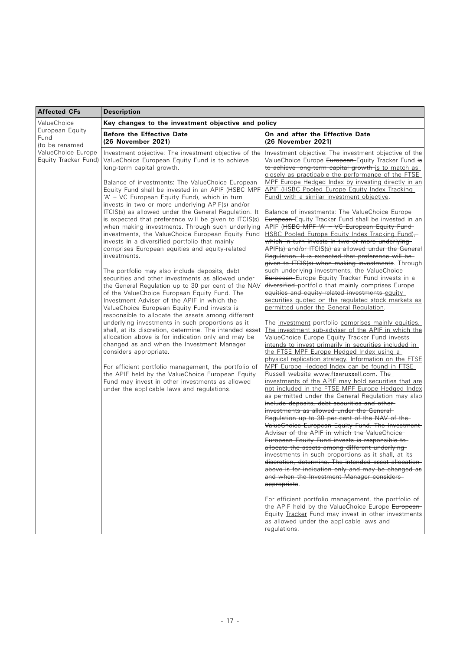| <b>Affected CFs</b>                                          | <b>Description</b>                                                                                                                                                                                                                                                                                                                                                                                                                                                                                                                                                                                                                                                                                                                                                                                                                                                                                                                                                                                                                                                                                                                                                                                                                                                                                                                                                                                                                                                                                                           |                                                                                                                                                                                                                                                                                                                                                                                                                                                                                                                                                                                                                                                                                                                                                                                                                                                                                                                                                                                                                                                                                                                                                                                                                                                                                                                                                                                                                                                                                                                                                                                                                                                                                                                                                                                                                                                                                                                                                                                                                                                                                                                                                                                                                                                                                                                                                                                                                                                                                                  |  |
|--------------------------------------------------------------|------------------------------------------------------------------------------------------------------------------------------------------------------------------------------------------------------------------------------------------------------------------------------------------------------------------------------------------------------------------------------------------------------------------------------------------------------------------------------------------------------------------------------------------------------------------------------------------------------------------------------------------------------------------------------------------------------------------------------------------------------------------------------------------------------------------------------------------------------------------------------------------------------------------------------------------------------------------------------------------------------------------------------------------------------------------------------------------------------------------------------------------------------------------------------------------------------------------------------------------------------------------------------------------------------------------------------------------------------------------------------------------------------------------------------------------------------------------------------------------------------------------------------|--------------------------------------------------------------------------------------------------------------------------------------------------------------------------------------------------------------------------------------------------------------------------------------------------------------------------------------------------------------------------------------------------------------------------------------------------------------------------------------------------------------------------------------------------------------------------------------------------------------------------------------------------------------------------------------------------------------------------------------------------------------------------------------------------------------------------------------------------------------------------------------------------------------------------------------------------------------------------------------------------------------------------------------------------------------------------------------------------------------------------------------------------------------------------------------------------------------------------------------------------------------------------------------------------------------------------------------------------------------------------------------------------------------------------------------------------------------------------------------------------------------------------------------------------------------------------------------------------------------------------------------------------------------------------------------------------------------------------------------------------------------------------------------------------------------------------------------------------------------------------------------------------------------------------------------------------------------------------------------------------------------------------------------------------------------------------------------------------------------------------------------------------------------------------------------------------------------------------------------------------------------------------------------------------------------------------------------------------------------------------------------------------------------------------------------------------------------------------------------------------|--|
| ValueChoice<br>European Equity<br>Fund                       | Key changes to the investment objective and policy                                                                                                                                                                                                                                                                                                                                                                                                                                                                                                                                                                                                                                                                                                                                                                                                                                                                                                                                                                                                                                                                                                                                                                                                                                                                                                                                                                                                                                                                           |                                                                                                                                                                                                                                                                                                                                                                                                                                                                                                                                                                                                                                                                                                                                                                                                                                                                                                                                                                                                                                                                                                                                                                                                                                                                                                                                                                                                                                                                                                                                                                                                                                                                                                                                                                                                                                                                                                                                                                                                                                                                                                                                                                                                                                                                                                                                                                                                                                                                                                  |  |
|                                                              | <b>Before the Effective Date</b><br>(26 November 2021)                                                                                                                                                                                                                                                                                                                                                                                                                                                                                                                                                                                                                                                                                                                                                                                                                                                                                                                                                                                                                                                                                                                                                                                                                                                                                                                                                                                                                                                                       | On and after the Effective Date<br>(26 November 2021)                                                                                                                                                                                                                                                                                                                                                                                                                                                                                                                                                                                                                                                                                                                                                                                                                                                                                                                                                                                                                                                                                                                                                                                                                                                                                                                                                                                                                                                                                                                                                                                                                                                                                                                                                                                                                                                                                                                                                                                                                                                                                                                                                                                                                                                                                                                                                                                                                                            |  |
| (to be renamed<br>ValueChoice Europe<br>Equity Tracker Fund) | Investment objective: The investment objective of the<br>ValueChoice European Equity Fund is to achieve<br>long-term capital growth.<br>Balance of investments: The ValueChoice European<br>Equity Fund shall be invested in an APIF (HSBC MPF<br>'A' - VC European Equity Fund), which in turn<br>invests in two or more underlying APIF(s) and/or<br>ITCIS(s) as allowed under the General Regulation. It<br>is expected that preference will be given to ITCIS(s)<br>when making investments. Through such underlying<br>investments, the ValueChoice European Equity Fund<br>invests in a diversified portfolio that mainly<br>comprises European equities and equity-related<br>investments.<br>The portfolio may also include deposits, debt<br>securities and other investments as allowed under<br>the General Regulation up to 30 per cent of the NAV<br>of the ValueChoice European Equity Fund. The<br>Investment Adviser of the APIF in which the<br>ValueChoice European Equity Fund invests is<br>responsible to allocate the assets among different<br>underlying investments in such proportions as it<br>shall, at its discretion, determine. The intended asset<br>allocation above is for indication only and may be<br>changed as and when the Investment Manager<br>considers appropriate.<br>For efficient portfolio management, the portfolio of<br>the APIF held by the ValueChoice European Equity<br>Fund may invest in other investments as allowed<br>under the applicable laws and regulations. | Investment objective: The investment objective of the<br>ValueChoice Europe European-Equity Tracker Fund is<br>to achieve long-term capital growth is to match as<br>closely as practicable the performance of the FTSE<br>MPF Europe Hedged Index by investing directly in an<br>APIF (HSBC Pooled Europe Equity Index Tracking<br>Fund) with a similar investment objective.<br>Balance of investments: The ValueChoice Europe<br>European-Equity Tracker Fund shall be invested in an<br>APIF (HSBC MPF 'A' - VC European Equity Fund-<br>HSBC Pooled Europe Equity Index Tracking Fund)<br>which in turn invests in two or more underlying<br>APIF(s) and/or ITCIS(s) as allowed under the General<br>Regulation. It is expected that preference will be-<br>given to ITCIS(s) when making investments. Through<br>such underlying investments, the ValueChoice<br>European-Europe Equity Tracker Fund invests in a<br>diversified portfolio that mainly comprises Europe<br>equities and equity-related investments equity<br>securities quoted on the regulated stock markets as<br>permitted under the General Regulation.<br>The investment portfolio comprises mainly equities.<br>The investment sub-adviser of the APIF in which the<br>ValueChoice Europe Equity Tracker Fund invests<br>intends to invest primarily in securities included in<br>the FTSE MPF Europe Hedged Index using a<br>physical replication strategy. Information on the FTSE<br>MPF Europe Hedged Index can be found in FTSE<br>Russell website www.ftserussell.com. The<br>investments of the APIF may hold securities that are<br>not included in the FTSE MPF Europe Hedged Index<br>as permitted under the General Regulation may also<br>include deposits, debt securities and other-<br>investments as allowed under the General-<br>Regulation up to 30 per cent of the NAV of the-<br>ValueChoice European Equity Fund. The Investment-<br>Adviser of the APIF in which the ValueChoice-<br>European Equity Fund invests is responsible to<br>allocate the assets among different underlying<br>investments in such proportions as it shall, at its<br>discretion, determine. The intended asset allocation-<br>above is for indication only and may be changed as<br>and when the Investment Manager considers-<br>appropriate.<br>For efficient portfolio management, the portfolio of<br>the APIF held by the ValueChoice Europe European-<br>Equity Tracker Fund may invest in other investments |  |
|                                                              |                                                                                                                                                                                                                                                                                                                                                                                                                                                                                                                                                                                                                                                                                                                                                                                                                                                                                                                                                                                                                                                                                                                                                                                                                                                                                                                                                                                                                                                                                                                              | as allowed under the applicable laws and<br>regulations.                                                                                                                                                                                                                                                                                                                                                                                                                                                                                                                                                                                                                                                                                                                                                                                                                                                                                                                                                                                                                                                                                                                                                                                                                                                                                                                                                                                                                                                                                                                                                                                                                                                                                                                                                                                                                                                                                                                                                                                                                                                                                                                                                                                                                                                                                                                                                                                                                                         |  |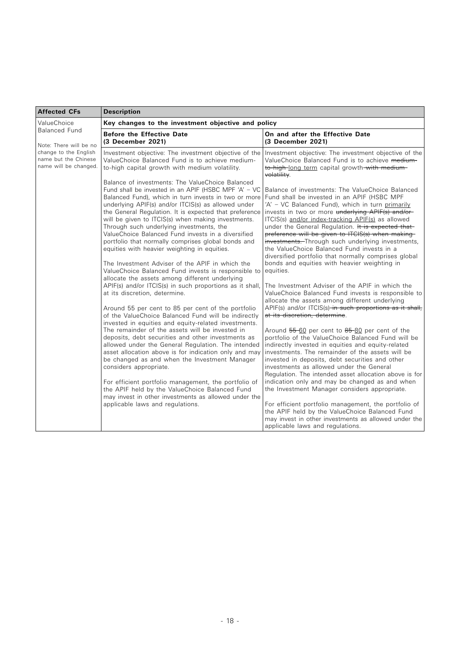| <b>Affected CFs</b>                                                                                                      | <b>Description</b>                                                                                                                                                                                                                                                                                                                                                                                                                                                                                                                                                                                 |                                                                                                                                                                                                                                                                                                                                                                                                                                                                                                                                                                                   |  |
|--------------------------------------------------------------------------------------------------------------------------|----------------------------------------------------------------------------------------------------------------------------------------------------------------------------------------------------------------------------------------------------------------------------------------------------------------------------------------------------------------------------------------------------------------------------------------------------------------------------------------------------------------------------------------------------------------------------------------------------|-----------------------------------------------------------------------------------------------------------------------------------------------------------------------------------------------------------------------------------------------------------------------------------------------------------------------------------------------------------------------------------------------------------------------------------------------------------------------------------------------------------------------------------------------------------------------------------|--|
| ValueChoice                                                                                                              | Key changes to the investment objective and policy                                                                                                                                                                                                                                                                                                                                                                                                                                                                                                                                                 |                                                                                                                                                                                                                                                                                                                                                                                                                                                                                                                                                                                   |  |
| <b>Balanced Fund</b><br>Note: There will be no<br>change to the English<br>name but the Chinese<br>name will be changed. | <b>Before the Effective Date</b><br>(3 December 2021)                                                                                                                                                                                                                                                                                                                                                                                                                                                                                                                                              | On and after the Effective Date<br>(3 December 2021)                                                                                                                                                                                                                                                                                                                                                                                                                                                                                                                              |  |
|                                                                                                                          | Investment objective: The investment objective of the<br>ValueChoice Balanced Fund is to achieve medium-<br>to-high capital growth with medium volatility.                                                                                                                                                                                                                                                                                                                                                                                                                                         | Investment objective: The investment objective of the<br>ValueChoice Balanced Fund is to achieve medium-<br>to-high-long term capital growth-with medium-<br>volatility.                                                                                                                                                                                                                                                                                                                                                                                                          |  |
|                                                                                                                          | Balance of investments: The ValueChoice Balanced<br>Fund shall be invested in an APIF (HSBC MPF 'A' - VC<br>Balanced Fund), which in turn invests in two or more<br>underlying APIF(s) and/or ITCIS(s) as allowed under<br>the General Regulation. It is expected that preference<br>will be given to ITCIS(s) when making investments.<br>Through such underlying investments, the<br>ValueChoice Balanced Fund invests in a diversified<br>portfolio that normally comprises global bonds and<br>equities with heavier weighting in equities.<br>The Investment Adviser of the APIF in which the | Balance of investments: The ValueChoice Balanced<br>Fund shall be invested in an APIF (HSBC MPF<br>'A' - VC Balanced Fund), which in turn primarily<br>invests in two or more underlying APIF(s) and/or-<br>ITCIS(s) and/or index-tracking APIF(s) as allowed<br>under the General Regulation. It is expected that<br>preference will be given to ITCIS(s) when making<br>investments. Through such underlying investments,<br>the ValueChoice Balanced Fund invests in a<br>diversified portfolio that normally comprises global<br>bonds and equities with heavier weighting in |  |
|                                                                                                                          | ValueChoice Balanced Fund invests is responsible to<br>allocate the assets among different underlying<br>APIF(s) and/or ITCIS(s) in such proportions as it shall,<br>at its discretion, determine.<br>Around 55 per cent to 85 per cent of the portfolio<br>of the ValueChoice Balanced Fund will be indirectly                                                                                                                                                                                                                                                                                    | equities.<br>The Investment Adviser of the APIF in which the<br>ValueChoice Balanced Fund invests is responsible to<br>allocate the assets among different underlying<br>APIF(s) and/or ITCIS(s) in such proportions as it shall,<br>at its discretion, determine.                                                                                                                                                                                                                                                                                                                |  |
|                                                                                                                          | invested in equities and equity-related investments.<br>The remainder of the assets will be invested in<br>deposits, debt securities and other investments as<br>allowed under the General Regulation. The intended<br>asset allocation above is for indication only and may<br>be changed as and when the Investment Manager<br>considers appropriate.<br>For efficient portfolio management, the portfolio of                                                                                                                                                                                    | Around 55-60 per cent to 85-80 per cent of the<br>portfolio of the ValueChoice Balanced Fund will be<br>indirectly invested in equities and equity-related<br>investments. The remainder of the assets will be<br>invested in deposits, debt securities and other<br>investments as allowed under the General<br>Regulation. The intended asset allocation above is for<br>indication only and may be changed as and when                                                                                                                                                         |  |
|                                                                                                                          | the APIF held by the ValueChoice Balanced Fund<br>may invest in other investments as allowed under the<br>applicable laws and regulations.                                                                                                                                                                                                                                                                                                                                                                                                                                                         | the Investment Manager considers appropriate.<br>For efficient portfolio management, the portfolio of<br>the APIF held by the ValueChoice Balanced Fund<br>may invest in other investments as allowed under the<br>applicable laws and regulations.                                                                                                                                                                                                                                                                                                                               |  |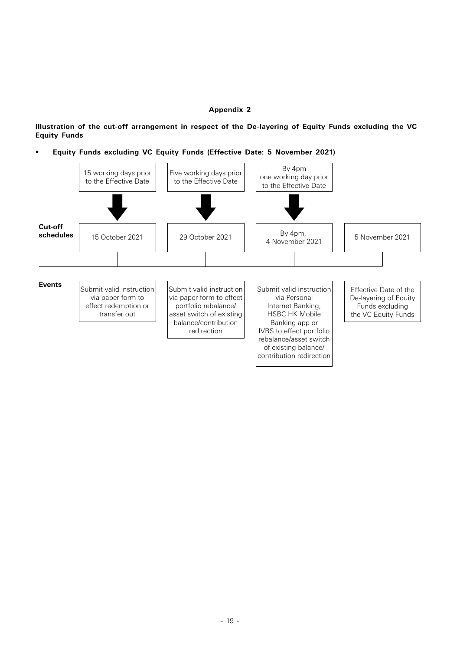#### **Appendix 2**

**Illustration of the cut-off arrangement in respect of the De-layering of Equity Funds excluding the VC Equity Funds**

**• Equity Funds excluding VC Equity Funds (Effective Date: 5 November 2021)**

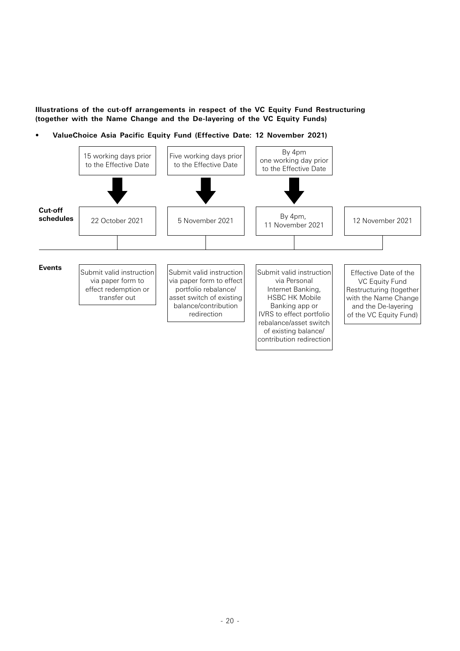**Illustrations of the cut-off arrangements in respect of the VC Equity Fund Restructuring (together with the Name Change and the De-layering of the VC Equity Funds)**

**• ValueChoice Asia Pacific Equity Fund (Effective Date: 12 November 2021)**

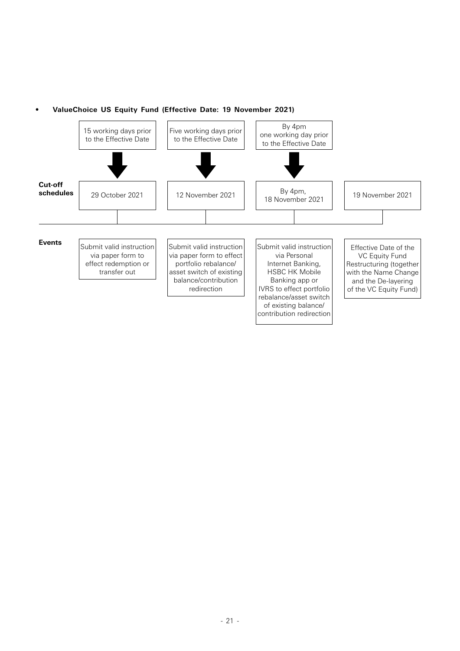

# **• ValueChoice US Equity Fund (Effective Date: 19 November 2021)**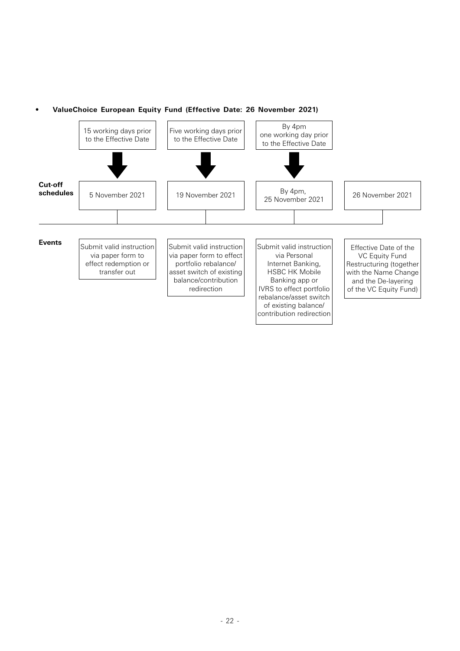

# **• ValueChoice European Equity Fund (Effective Date: 26 November 2021)**